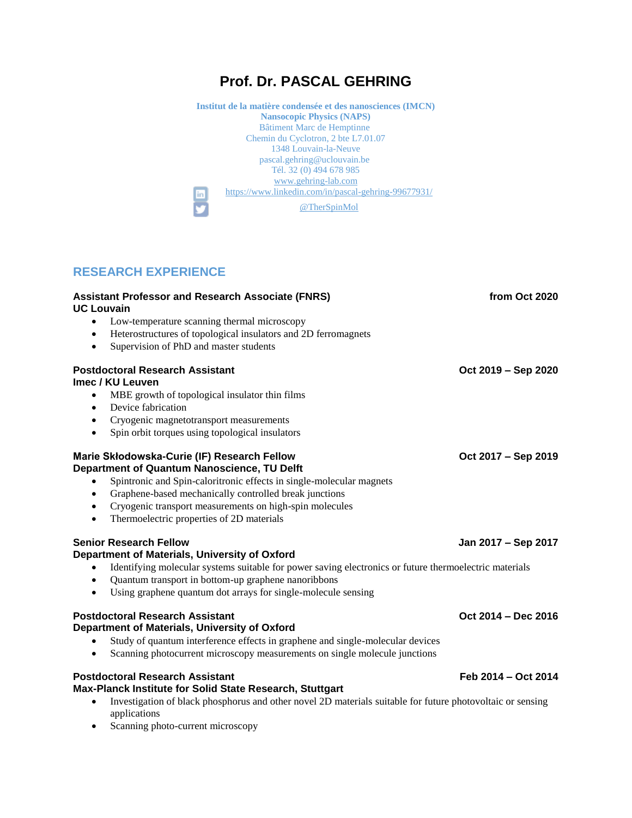# **Prof. Dr. PASCAL GEHRING**

**Institut de la matière condensée et des nanosciences (IMCN) Nansocopic Physics (NAPS)** Bâtiment Marc de Hemptinne Chemin du Cyclotron, 2 bte L7.01.07 1348 Louvain-la-Neuve pascal.gehring@uclouvain.be Tél. 32 (0) 494 678 985 <www.gehring-lab.com> <https://www.linkedin.com/in/pascal-gehring-99677931/> **in** [@TherSpinMol](https://twitter.com/TherSpinMol)

## **RESEARCH EXPERIENCE**

| <b>Assistant Professor and Research Associate (FNRS)</b><br><b>UC Louvain</b>                          | from Oct 2020       |
|--------------------------------------------------------------------------------------------------------|---------------------|
| Low-temperature scanning thermal microscopy<br>$\bullet$                                               |                     |
| Heterostructures of topological insulators and 2D ferromagnets<br>$\bullet$                            |                     |
| Supervision of PhD and master students<br>$\bullet$                                                    |                     |
| <b>Postdoctoral Research Assistant</b>                                                                 | Oct 2019 - Sep 2020 |
| Imec / KU Leuven                                                                                       |                     |
| MBE growth of topological insulator thin films<br>٠                                                    |                     |
| Device fabrication<br>$\bullet$                                                                        |                     |
| Cryogenic magnetotransport measurements<br>$\bullet$                                                   |                     |
| Spin orbit torques using topological insulators<br>$\bullet$                                           |                     |
| Marie Skłodowska-Curie (IF) Research Fellow<br>Department of Quantum Nanoscience, TU Delft             | Oct 2017 - Sep 2019 |
| Spintronic and Spin-caloritronic effects in single-molecular magnets                                   |                     |
| Graphene-based mechanically controlled break junctions<br>$\bullet$                                    |                     |
| Cryogenic transport measurements on high-spin molecules<br>$\bullet$                                   |                     |
| Thermoelectric properties of 2D materials<br>$\bullet$                                                 |                     |
| <b>Senior Research Fellow</b>                                                                          | Jan 2017 – Sep 2017 |
| Department of Materials, University of Oxford                                                          |                     |
| Identifying molecular systems suitable for power saving electronics or future thermoelectric materials |                     |
| Quantum transport in bottom-up graphene nanoribbons<br>$\bullet$                                       |                     |
| Using graphene quantum dot arrays for single-molecule sensing<br>$\bullet$                             |                     |
| <b>Postdoctoral Research Assistant</b><br>Department of Materials, University of Oxford                | Oct 2014 - Dec 2016 |
| Study of quantum interference effects in graphene and single-molecular devices                         |                     |
| Scanning photocurrent microscopy measurements on single molecule junctions<br>$\bullet$                |                     |
| <b>Postdoctoral Research Assistant</b><br>Max-Planck Institute for Solid State Research, Stuttgart     | Feb 2014 - Oct 2014 |

- Investigation of black phosphorus and other novel 2D materials suitable for future photovoltaic or sensing applications
- Scanning photo-current microscopy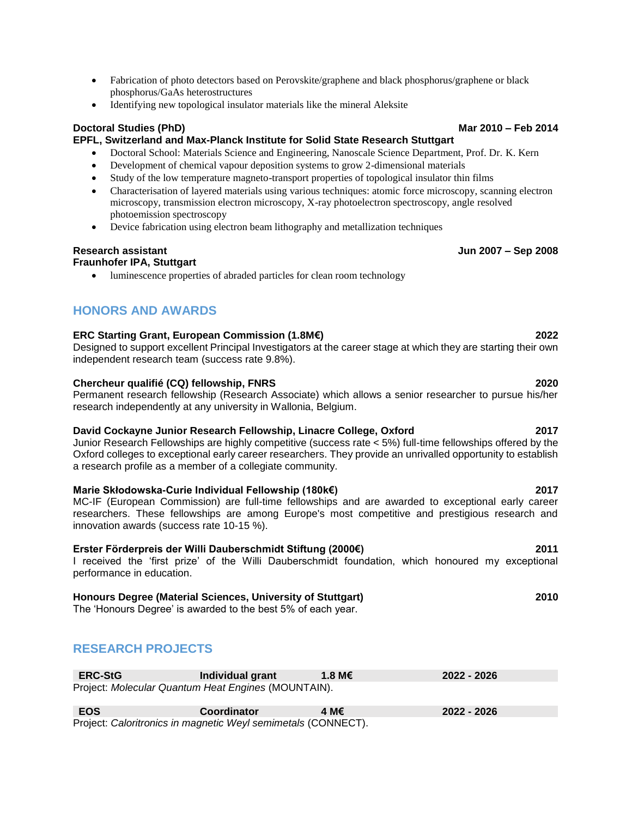- Fabrication of photo detectors based on Perovskite/graphene and black phosphorus/graphene or black phosphorus/GaAs heterostructures
- Identifying new topological insulator materials like the mineral Aleksite

### **Doctoral Studies (PhD)** Mar 2010 – **Feb 2014**

### **EPFL, Switzerland and Max-Planck Institute for Solid State Research Stuttgart**

- Doctoral School: Materials Science and Engineering, Nanoscale Science Department, Prof. Dr. K. Kern
- Development of chemical vapour deposition systems to grow 2-dimensional materials
- Study of the low temperature magneto-transport properties of topological insulator thin films
- Characterisation of layered materials using various techniques: atomic force microscopy, scanning electron microscopy, transmission electron microscopy, X-ray photoelectron spectroscopy, angle resolved photoemission spectroscopy
- Device fabrication using electron beam lithography and metallization techniques

### **Research assistant Jun 2007 – Sep 2008**

### **Fraunhofer IPA, Stuttgart**

• luminescence properties of abraded particles for clean room technology

## **HONORS AND AWARDS**

### **ERC Starting Grant, European Commission (1.8M€) 2022**

Designed to support excellent Principal Investigators at the career stage at which they are starting their own independent research team (success rate 9.8%).

### **Chercheur qualifié (CQ) fellowship, FNRS 2020**

Permanent research fellowship (Research Associate) which allows a senior researcher to pursue his/her research independently at any university in Wallonia, Belgium.

### **David Cockayne Junior Research Fellowship, Linacre College, Oxford 2017**

Junior Research Fellowships are highly competitive (success rate < 5%) full-time fellowships offered by the Oxford colleges to exceptional early career researchers. They provide an unrivalled opportunity to establish a research profile as a member of a collegiate community.

### **Marie Skłodowska-Curie Individual Fellowship (180k€) 2017**

MC-IF (European Commission) are full-time fellowships and are awarded to exceptional early career researchers. These fellowships are among Europe's most competitive and prestigious research and innovation awards (success rate 10-15 %).

### **Erster Förderpreis der Willi Dauberschmidt Stiftung (2000€) 2011**

I received the 'first prize' of the Willi Dauberschmidt foundation, which honoured my exceptional performance in education.

### **Honours Degree (Material Sciences, University of Stuttgart) 2010**

The 'Honours Degree' is awarded to the best 5% of each year.

## **RESEARCH PROJECTS**

| <b>ERC-StG</b>                                      | Individual grant | 1.8 M $\epsilon$ | 2022 - 2026 |
|-----------------------------------------------------|------------------|------------------|-------------|
| Project: Molecular Quantum Heat Engines (MOUNTAIN). |                  |                  |             |

| EOS                                                           | <b>Coordinator</b> | 4 М€ | 2022 - 2026 |
|---------------------------------------------------------------|--------------------|------|-------------|
| Project: Caloritronics in magnetic Weyl semimetals (CONNECT). |                    |      |             |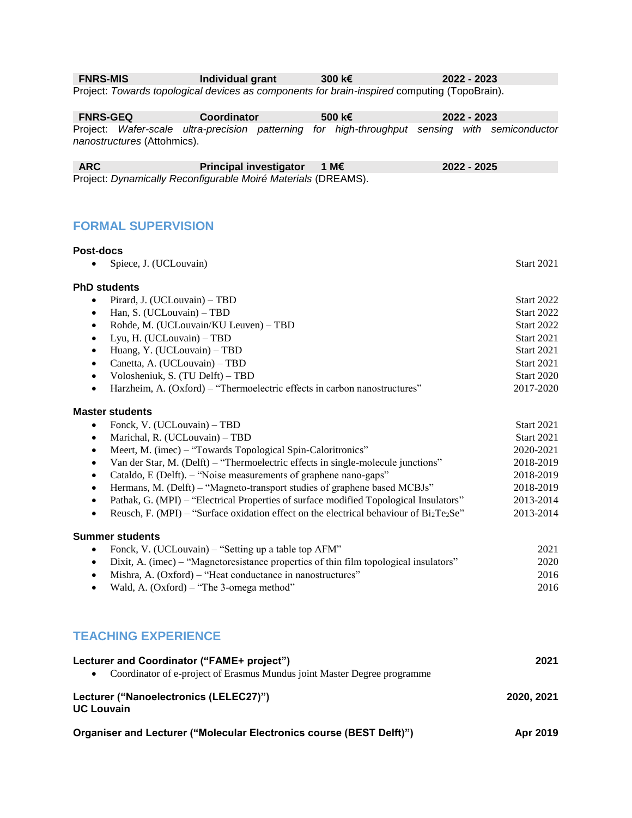**FNRS-MIS Individual grant 300 k€ 2022 - 2023**

Project: *Towards topological devices as components for brain-inspired* computing (TopoBrain).

**FNRS-GEQ Coordinator 500 k€ 2022 - 2023** Project: *Wafer-scale ultra-precision patterning for high-throughput sensing with semiconductor nanostructures* (Attohmics).

**ARC Principal investigator 1 M€ 2022 - 2025** Project: *Dynamically Reconfigurable Moiré Materials* (DREAMS).

## **FORMAL SUPERVISION**

| <b>Post-docs</b>                                                                                        |                   |
|---------------------------------------------------------------------------------------------------------|-------------------|
| Spiece, J. (UCLouvain)                                                                                  | <b>Start 2021</b> |
| <b>PhD students</b>                                                                                     |                   |
| Pirard, J. (UCLouvain) - TBD<br>$\bullet$                                                               | <b>Start 2022</b> |
| Han, S. (UCLouvain) - TBD<br>$\bullet$                                                                  | <b>Start 2022</b> |
| Rohde, M. (UCLouvain/KU Leuven) - TBD<br>$\bullet$                                                      | <b>Start 2022</b> |
| Lyu, H. (UCLouvain) - TBD<br>$\bullet$                                                                  | <b>Start 2021</b> |
| Huang, Y. (UCLouvain) - TBD<br>$\bullet$                                                                | <b>Start 2021</b> |
| Canetta, A. (UCLouvain) - TBD<br>$\bullet$                                                              | <b>Start 2021</b> |
| Volosheniuk, S. (TU Delft) – TBD<br>$\bullet$                                                           | <b>Start 2020</b> |
| Harzheim, A. (Oxford) – "Thermoelectric effects in carbon nanostructures"<br>$\bullet$                  | 2017-2020         |
| <b>Master students</b>                                                                                  |                   |
| Fonck, V. (UCLouvain) - TBD<br>$\bullet$                                                                | <b>Start 2021</b> |
| Marichal, R. (UCLouvain) - TBD<br>$\bullet$                                                             | <b>Start 2021</b> |
| Meert, M. (imec) – "Towards Topological Spin-Caloritronics"<br>$\bullet$                                | 2020-2021         |
| Van der Star, M. (Delft) – "Thermoelectric effects in single-molecule junctions"<br>$\bullet$           | 2018-2019         |
| Cataldo, E (Delft). - "Noise measurements of graphene nano-gaps"<br>$\bullet$                           | 2018-2019         |
| Hermans, M. (Delft) - "Magneto-transport studies of graphene based MCBJs"<br>$\bullet$                  | 2018-2019         |
| Pathak, G. (MPI) - "Electrical Properties of surface modified Topological Insulators"<br>$\bullet$      | 2013-2014         |
| Reusch, F. (MPI) – "Surface oxidation effect on the electrical behaviour of $Bi_2Te_2Se$ "<br>$\bullet$ | 2013-2014         |
| <b>Summer students</b>                                                                                  |                   |
| Fonck, V. (UCLouvain) – "Setting up a table top AFM"<br>$\bullet$                                       | 2021              |
| Dixit, A. (imec) – "Magnetoresistance properties of thin film topological insulators"<br>$\bullet$      | 2020              |
| Mishra, A. (Oxford) – "Heat conductance in nanostructures"<br>$\bullet$                                 | 2016              |
| Wald, A. (Oxford) - "The 3-omega method"<br>$\bullet$                                                   | 2016              |
|                                                                                                         |                   |

## **TEACHING EXPERIENCE**

| Lecturer and Coordinator ("FAME+ project")                                 | 2021       |
|----------------------------------------------------------------------------|------------|
| • Coordinator of e-project of Erasmus Mundus joint Master Degree programme |            |
| Lecturer ("Nanoelectronics (LELEC27)")<br><b>UC Louvain</b>                | 2020, 2021 |
| Organiser and Lecturer ("Molecular Electronics course (BEST Delft)")       | Apr 2019   |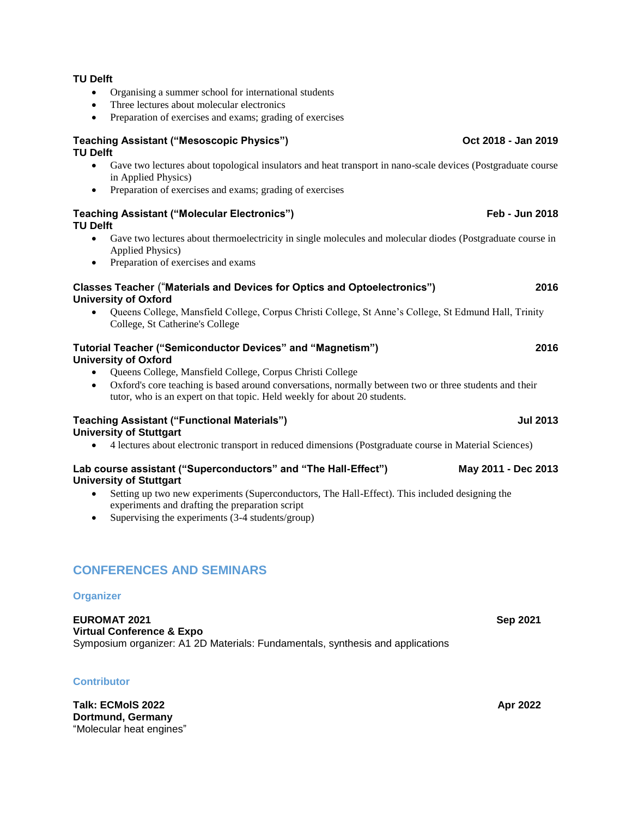• Preparation of exercises and exams; grading of exercises **Teaching Assistant ("Mesoscopic Physics") Oct 2018 - Jan 2019**

### **TU Delft**

**TU Delft**

- Gave two lectures about topological insulators and heat transport in nano-scale devices (Postgraduate course in Applied Physics)
- Preparation of exercises and exams; grading of exercises

### **Teaching Assistant ("Molecular Electronics") Feb - Jun 2018 TU Delft**

- Gave two lectures about thermoelectricity in single molecules and molecular diodes (Postgraduate course in Applied Physics)
- Preparation of exercises and exams

### **Classes Teacher** ("**Materials and Devices for Optics and Optoelectronics") 2016 University of Oxford**

• Queens College, Mansfield College, Corpus Christi College, St Anne's College, St Edmund Hall, Trinity College, St Catherine's College

### **Tutorial Teacher ("Semiconductor Devices" and "Magnetism") 2016 University of Oxford**

- Queens College, Mansfield College, Corpus Christi College
- Oxford's core teaching is based around conversations, normally between two or three students and their tutor, who is an expert on that topic. Held weekly for about 20 students.

### **Teaching Assistant ("Functional Materials") Jul 2013 University of Stuttgart**

• 4 lectures about electronic transport in reduced dimensions (Postgraduate course in Material Sciences)

### **Lab course assistant ("Superconductors" and "The Hall-Effect") May 2011 - Dec 2013 University of Stuttgart**

- Setting up two new experiments (Superconductors, The Hall-Effect). This included designing the experiments and drafting the preparation script
- Supervising the experiments (3-4 students/group)

## **CONFERENCES AND SEMINARS**

### **Organizer**

**EUROMAT 2021 Sep 2021 Virtual Conference & Expo** Symposium organizer: A1 2D Materials: Fundamentals, synthesis and applications

## **Contributor**

**Talk: ECMolS 2022 Apr 2022 Dortmund, Germany** "Molecular heat engines"

- Organising a summer school for international students
- Three lectures about molecular electronics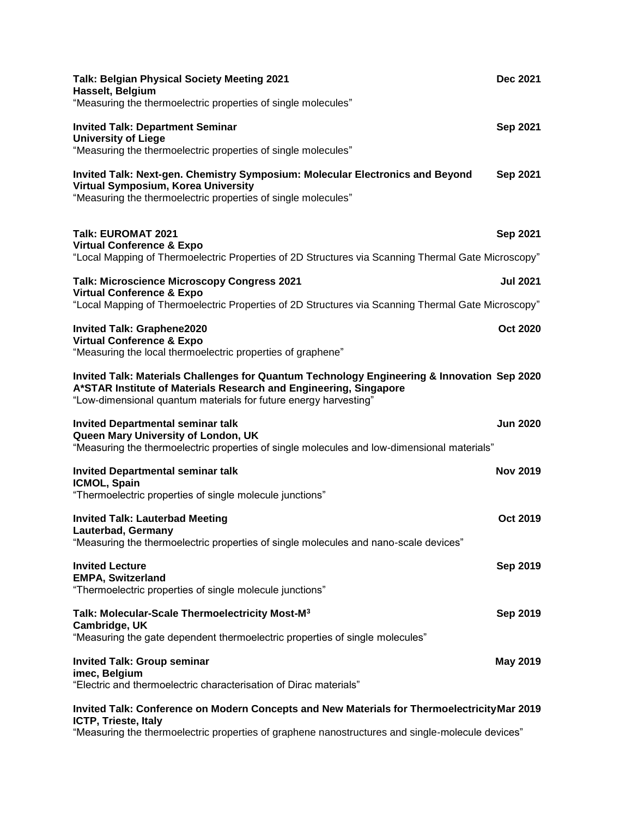| <b>Talk: Belgian Physical Society Meeting 2021</b><br>Hasselt, Belgium<br>"Measuring the thermoelectric properties of single molecules"                                                                                              | Dec 2021        |
|--------------------------------------------------------------------------------------------------------------------------------------------------------------------------------------------------------------------------------------|-----------------|
| <b>Invited Talk: Department Seminar</b><br><b>University of Liege</b><br>"Measuring the thermoelectric properties of single molecules"                                                                                               | <b>Sep 2021</b> |
| Invited Talk: Next-gen. Chemistry Symposium: Molecular Electronics and Beyond<br>Virtual Symposium, Korea University<br>"Measuring the thermoelectric properties of single molecules"                                                | Sep 2021        |
| <b>Talk: EUROMAT 2021</b><br><b>Virtual Conference &amp; Expo</b><br>"Local Mapping of Thermoelectric Properties of 2D Structures via Scanning Thermal Gate Microscopy"                                                              | <b>Sep 2021</b> |
| <b>Talk: Microscience Microscopy Congress 2021</b><br><b>Virtual Conference &amp; Expo</b><br>"Local Mapping of Thermoelectric Properties of 2D Structures via Scanning Thermal Gate Microscopy"                                     | <b>Jul 2021</b> |
| <b>Invited Talk: Graphene2020</b><br><b>Virtual Conference &amp; Expo</b><br>"Measuring the local thermoelectric properties of graphene"                                                                                             | <b>Oct 2020</b> |
| Invited Talk: Materials Challenges for Quantum Technology Engineering & Innovation Sep 2020<br>A*STAR Institute of Materials Research and Engineering, Singapore<br>"Low-dimensional quantum materials for future energy harvesting" |                 |
| <b>Invited Departmental seminar talk</b><br>Queen Mary University of London, UK<br>"Measuring the thermoelectric properties of single molecules and low-dimensional materials"                                                       | <b>Jun 2020</b> |
| <b>Invited Departmental seminar talk</b><br>ICMOL, Spain<br>"Thermoelectric properties of single molecule junctions"                                                                                                                 | <b>Nov 2019</b> |
| <b>Invited Talk: Lauterbad Meeting</b><br>Lauterbad, Germany<br>"Measuring the thermoelectric properties of single molecules and nano-scale devices"                                                                                 | <b>Oct 2019</b> |
| <b>Invited Lecture</b><br><b>EMPA, Switzerland</b><br>"Thermoelectric properties of single molecule junctions"                                                                                                                       | <b>Sep 2019</b> |
| Talk: Molecular-Scale Thermoelectricity Most-M <sup>3</sup><br>Cambridge, UK<br>"Measuring the gate dependent thermoelectric properties of single molecules"                                                                         | Sep 2019        |
| <b>Invited Talk: Group seminar</b><br>imec, Belgium<br>"Electric and thermoelectric characterisation of Dirac materials"                                                                                                             | <b>May 2019</b> |
| Invited Talk: Conference on Modern Concents and New Materials for Thermoelectricity Mar 2019                                                                                                                                         |                 |

**Invited Talk: Conference on Modern Concepts and New Materials for ThermoelectricityMar 2019 ICTP, Trieste, Italy**

"Measuring the thermoelectric properties of graphene nanostructures and single-molecule devices"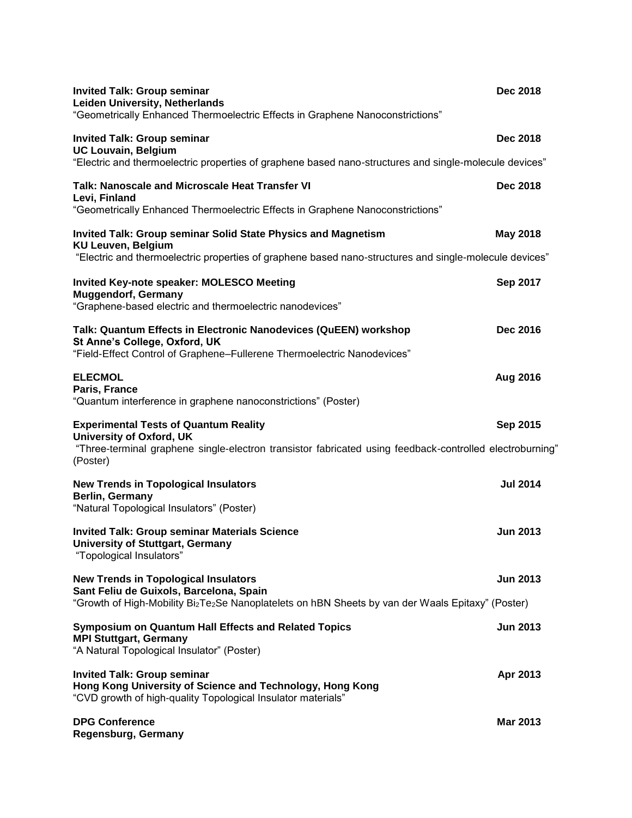| <b>Invited Talk: Group seminar</b><br><b>Leiden University, Netherlands</b><br>"Geometrically Enhanced Thermoelectric Effects in Graphene Nanoconstrictions"                                                         | <b>Dec 2018</b> |
|----------------------------------------------------------------------------------------------------------------------------------------------------------------------------------------------------------------------|-----------------|
| <b>Invited Talk: Group seminar</b><br><b>UC Louvain, Belgium</b><br>"Electric and thermoelectric properties of graphene based nano-structures and single-molecule devices"                                           | <b>Dec 2018</b> |
| Talk: Nanoscale and Microscale Heat Transfer VI<br>Levi, Finland<br>"Geometrically Enhanced Thermoelectric Effects in Graphene Nanoconstrictions"                                                                    | Dec 2018        |
| <b>Invited Talk: Group seminar Solid State Physics and Magnetism</b><br><b>KU Leuven, Belgium</b><br>"Electric and thermoelectric properties of graphene based nano-structures and single-molecule devices"          | <b>May 2018</b> |
| <b>Invited Key-note speaker: MOLESCO Meeting</b><br><b>Muggendorf, Germany</b><br>"Graphene-based electric and thermoelectric nanodevices"                                                                           | Sep 2017        |
| Talk: Quantum Effects in Electronic Nanodevices (QuEEN) workshop<br>St Anne's College, Oxford, UK<br>"Field-Effect Control of Graphene-Fullerene Thermoelectric Nanodevices"                                         | <b>Dec 2016</b> |
| <b>ELECMOL</b><br>Paris, France<br>"Quantum interference in graphene nanoconstrictions" (Poster)                                                                                                                     | Aug 2016        |
| <b>Experimental Tests of Quantum Reality</b><br><b>University of Oxford, UK</b><br>"Three-terminal graphene single-electron transistor fabricated using feedback-controlled electroburning"<br>(Poster)              | Sep 2015        |
| <b>New Trends in Topological Insulators</b><br>Berlin, Germany<br>"Natural Topological Insulators" (Poster)                                                                                                          | <b>Jul 2014</b> |
| <b>Invited Talk: Group seminar Materials Science</b><br><b>University of Stuttgart, Germany</b><br>"Topological Insulators"                                                                                          | <b>Jun 2013</b> |
| <b>New Trends in Topological Insulators</b><br>Sant Feliu de Guixols, Barcelona, Spain<br>"Growth of High-Mobility Bi <sub>2</sub> Te <sub>2</sub> Se Nanoplatelets on hBN Sheets by van der Waals Epitaxy" (Poster) | <b>Jun 2013</b> |
| <b>Symposium on Quantum Hall Effects and Related Topics</b><br><b>MPI Stuttgart, Germany</b><br>"A Natural Topological Insulator" (Poster)                                                                           | <b>Jun 2013</b> |
| <b>Invited Talk: Group seminar</b><br>Hong Kong University of Science and Technology, Hong Kong<br>"CVD growth of high-quality Topological Insulator materials"                                                      | Apr 2013        |
| <b>DPG Conference</b><br>Regensburg, Germany                                                                                                                                                                         | <b>Mar 2013</b> |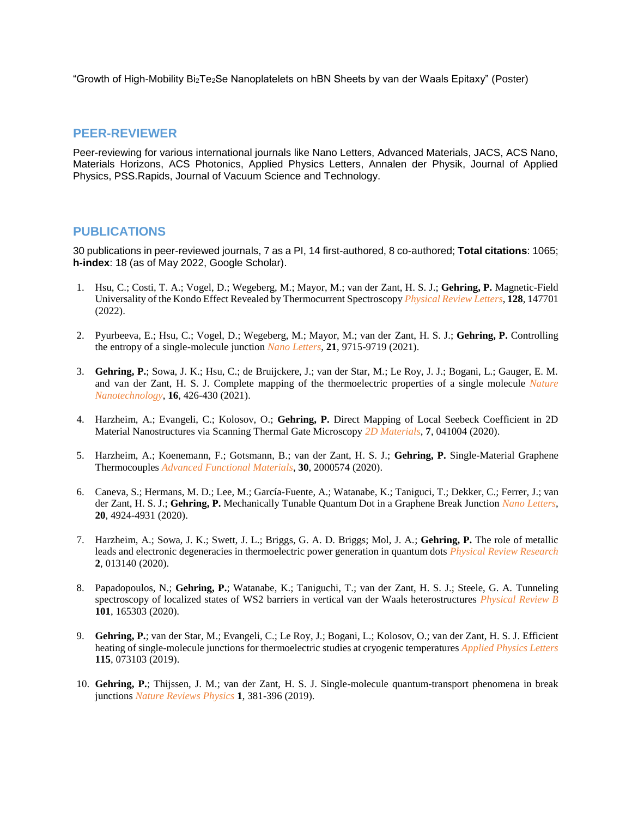"Growth of High-Mobility Bi2Te2Se Nanoplatelets on hBN Sheets by van der Waals Epitaxy" (Poster)

### **PEER-REVIEWER**

Peer-reviewing for various international journals like Nano Letters, Advanced Materials, JACS, ACS Nano, Materials Horizons, ACS Photonics, Applied Physics Letters, Annalen der Physik, Journal of Applied Physics, PSS.Rapids, Journal of Vacuum Science and Technology.

### **PUBLICATIONS**

30 publications in peer-reviewed journals, 7 as a PI, 14 first-authored, 8 co-authored; **Total citations**: 1065; **h-index**: 18 (as of May 2022, Google Scholar).

- 1. Hsu, C.; Costi, T. A.; Vogel, D.; Wegeberg, M.; Mayor, M.; van der Zant, H. S. J.; **Gehring, P.** Magnetic-Field Universality of the Kondo Effect Revealed by Thermocurrent Spectroscopy *Physical Review Letters*, **128**, 147701 (2022).
- 2. Pyurbeeva, E.; Hsu, C.; Vogel, D.; Wegeberg, M.; Mayor, M.; van der Zant, H. S. J.; **Gehring, P.** Controlling the entropy of a single-molecule junction *Nano Letters*, **21**, 9715-9719 (2021).
- 3. **Gehring, P.**; Sowa, J. K.; Hsu, C.; de Bruijckere, J.; van der Star, M.; Le Roy, J. J.; Bogani, L.; Gauger, E. M. and van der Zant, H. S. J. Complete mapping of the thermoelectric properties of a single molecule *Nature Nanotechnology*, **16**, 426-430 (2021).
- 4. Harzheim, A.; Evangeli, C.; Kolosov, O.; **Gehring, P.** Direct Mapping of Local Seebeck Coefficient in 2D Material Nanostructures via Scanning Thermal Gate Microscopy *2D Materials*, **7**, 041004 (2020).
- 5. Harzheim, A.; Koenemann, F.; Gotsmann, B.; van der Zant, H. S. J.; **Gehring, P.** Single-Material Graphene Thermocouples *Advanced Functional Materials*, **30**, 2000574 (2020).
- 6. Caneva, S.; Hermans, M. D.; Lee, M.; García-Fuente, A.; Watanabe, K.; Taniguci, T.; Dekker, C.; Ferrer, J.; van der Zant, H. S. J.; **Gehring, P.** Mechanically Tunable Quantum Dot in a Graphene Break Junction *Nano Letters,* **20**, 4924-4931 (2020).
- 7. Harzheim, A.; Sowa, J. K.; Swett, J. L.; Briggs, G. A. D. Briggs; Mol, J. A.; **Gehring, P.** The role of metallic leads and electronic degeneracies in thermoelectric power generation in quantum dots *Physical Review Research* **2**, 013140 (2020).
- 8. Papadopoulos, N.; **Gehring, P.**; Watanabe, K.; Taniguchi, T.; van der Zant, H. S. J.; Steele, G. A. Tunneling spectroscopy of localized states of WS2 barriers in vertical van der Waals heterostructures *Physical Review B* **101**, 165303 (2020)*.*
- 9. **Gehring, P.**; van der Star, M.; Evangeli, C.; Le Roy, J.; Bogani, L.; Kolosov, O.; van der Zant, H. S. J. Efficient heating of single-molecule junctions for thermoelectric studies at cryogenic temperatures *Applied Physics Letters* **115**, 073103 (2019).
- 10. **Gehring, P.**; Thijssen, J. M.; van der Zant, H. S. J. Single-molecule quantum-transport phenomena in break junctions *Nature Reviews Physics* **1**, 381-396 (2019).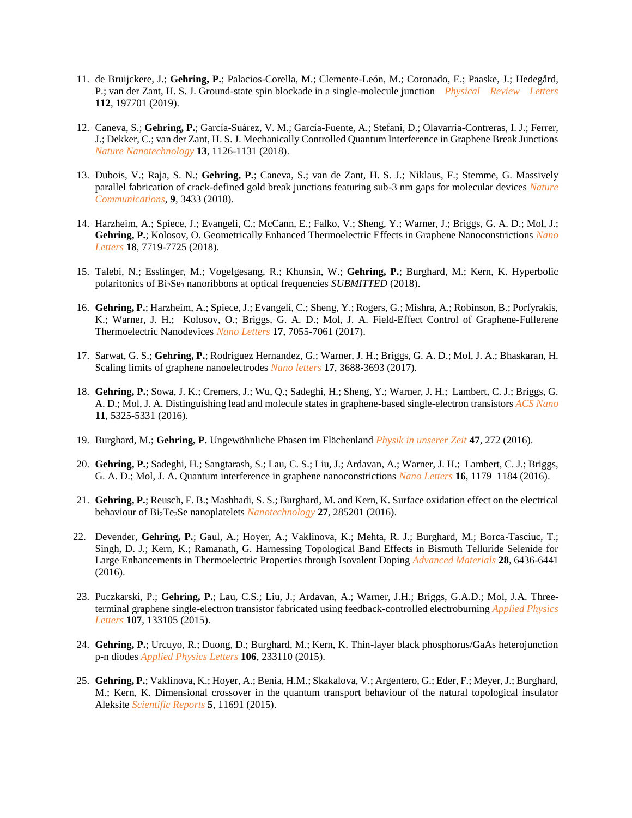- 11. de Bruijckere, J.; **Gehring, P.**; Palacios-Corella, M.; Clemente-León, M.; Coronado, E.; Paaske, J.; Hedegård, P.; van der Zant, H. S. J. Ground-state spin blockade in a single-molecule junction *Physical Review Letters* **112**, 197701 (2019).
- 12. Caneva, S.; **Gehring, P.**; García-Suárez, V. M.; García-Fuente, A.; Stefani, D.; Olavarria-Contreras, I. J.; Ferrer, J.; Dekker, C.; van der Zant, H. S. J. Mechanically Controlled Quantum Interference in Graphene Break Junctions *Nature Nanotechnology* **13**, 1126-1131 (2018).
- 13. Dubois, V.; Raja, S. N.; **Gehring, P.**; Caneva, S.; van de Zant, H. S. J.; Niklaus, F.; Stemme, G. Massively parallel fabrication of crack-defined gold break junctions featuring sub-3 nm gaps for molecular devices *Nature Communications*, **9**, 3433 (2018).
- 14. Harzheim, A.; Spiece, J.; Evangeli, C.; McCann, E.; Falko, V.; Sheng, Y.; Warner, J.; Briggs, G. A. D.; Mol, J.; **Gehring, P.**; Kolosov, O. Geometrically Enhanced Thermoelectric Effects in Graphene Nanoconstrictions *Nano Letters* **18**, 7719-7725 (2018).
- 15. Talebi, N.; Esslinger, M.; Vogelgesang, R.; Khunsin, W.; **Gehring, P.**; Burghard, M.; Kern, K. Hyperbolic polaritonics of Bi2Se<sup>3</sup> nanoribbons at optical frequencies *SUBMITTED* (2018).
- 16. **Gehring, P.**; Harzheim, A.; Spiece, J.; Evangeli, C.; Sheng, Y.; Rogers, G.; Mishra, A.; Robinson, B.; Porfyrakis, K.; Warner, J. H.; Kolosov, O.; Briggs, G. A. D.; Mol, J. A. Field-Effect Control of Graphene-Fullerene Thermoelectric Nanodevices *Nano Letters* **17**, 7055-7061 (2017).
- 17. Sarwat, G. S.; **Gehring, P.**; Rodriguez Hernandez, G.; Warner, J. H.; Briggs, G. A. D.; Mol, J. A.; Bhaskaran, H. Scaling limits of graphene nanoelectrodes *Nano letters* **17**, 3688-3693 (2017).
- 18. **Gehring, P.**; Sowa, J. K.; Cremers, J.; Wu, Q.; Sadeghi, H.; Sheng, Y.; Warner, J. H.; Lambert, C. J.; Briggs, G. A. D.; Mol, J. A. Distinguishing lead and molecule states in graphene-based single-electron transistors *ACS Nano* **11**, 5325-5331 (2016).
- 19. Burghard, M.; **Gehring, P.** Ungewöhnliche Phasen im Flächenland *Physik in unserer Zeit* **47**, 272 (2016).
- 20. **Gehring, P.**; Sadeghi, H.; Sangtarash, S.; Lau, C. S.; Liu, J.; Ardavan, A.; Warner, J. H.; Lambert, C. J.; Briggs, G. A. D.; Mol, J. A. Quantum interference in graphene nanoconstrictions *Nano Letters* **16**, 1179–1184 (2016).
- 21. **Gehring, P.**; Reusch, F. B.; Mashhadi, S. S.; Burghard, M. and Kern, K. Surface oxidation effect on the electrical behaviour of Bi2Te2Se nanoplatelets *Nanotechnology* **27**, 285201 (2016).
- 22. Devender, **Gehring, P.**; Gaul, A.; Hoyer, A.; Vaklinova, K.; Mehta, R. J.; Burghard, M.; Borca‐Tasciuc, T.; Singh, D. J.; Kern, K.; Ramanath, G. Harnessing Topological Band Effects in Bismuth Telluride Selenide for Large Enhancements in Thermoelectric Properties through Isovalent Doping *Advanced Materials* **28**, 6436-6441 (2016).
- 23. Puczkarski, P.; **Gehring, P.**; Lau, C.S.; Liu, J.; Ardavan, A.; Warner, J.H.; Briggs, G.A.D.; Mol, J.A. Threeterminal graphene single-electron transistor fabricated using feedback-controlled electroburning *Applied Physics Letters* **107**, 133105 (2015).
- 24. **Gehring, P.**; Urcuyo, R.; Duong, D.; Burghard, M.; Kern, K. Thin-layer black phosphorus/GaAs heterojunction p-n diodes *Applied Physics Letters* **106**, 233110 (2015).
- 25. **Gehring, P.**; Vaklinova, K.; Hoyer, A.; Benia, H.M.; Skakalova, V.; Argentero, G.; Eder, F.; Meyer, J.; Burghard, M.; Kern, K. Dimensional crossover in the quantum transport behaviour of the natural topological insulator Aleksite *Scientific Reports* **5**, 11691 (2015).